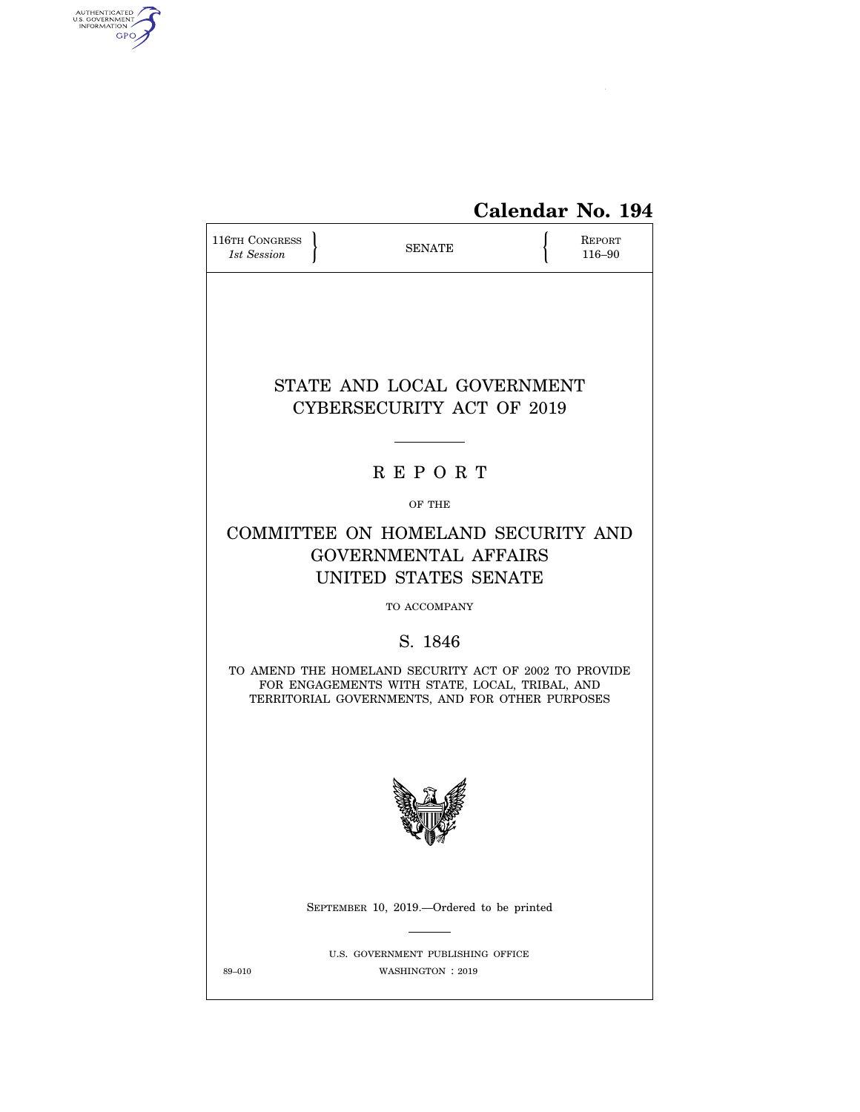

# **Calendar No. 194**

| 116TH CONGRESS<br>1st Session                                                                                                                              |  | REPORT<br>116-90                                                                          |  |  |  |  |  |  |
|------------------------------------------------------------------------------------------------------------------------------------------------------------|--|-------------------------------------------------------------------------------------------|--|--|--|--|--|--|
|                                                                                                                                                            |  |                                                                                           |  |  |  |  |  |  |
|                                                                                                                                                            |  | STATE AND LOCAL GOVERNMENT<br>CYBERSECURITY ACT OF 2019                                   |  |  |  |  |  |  |
|                                                                                                                                                            |  | <b>REPORT</b>                                                                             |  |  |  |  |  |  |
|                                                                                                                                                            |  | OF THE                                                                                    |  |  |  |  |  |  |
|                                                                                                                                                            |  | COMMITTEE ON HOMELAND SECURITY AND<br><b>GOVERNMENTAL AFFAIRS</b><br>UNITED STATES SENATE |  |  |  |  |  |  |
| TO ACCOMPANY                                                                                                                                               |  |                                                                                           |  |  |  |  |  |  |
|                                                                                                                                                            |  | S. 1846                                                                                   |  |  |  |  |  |  |
| TO AMEND THE HOMELAND SECURITY ACT OF 2002 TO PROVIDE<br>FOR ENGAGEMENTS WITH STATE, LOCAL, TRIBAL, AND<br>TERRITORIAL GOVERNMENTS, AND FOR OTHER PURPOSES |  |                                                                                           |  |  |  |  |  |  |
|                                                                                                                                                            |  |                                                                                           |  |  |  |  |  |  |
|                                                                                                                                                            |  | SEPTEMBER 10, 2019.—Ordered to be printed                                                 |  |  |  |  |  |  |
| 89-010                                                                                                                                                     |  | U.S. GOVERNMENT PUBLISHING OFFICE<br>WASHINGTON: 2019                                     |  |  |  |  |  |  |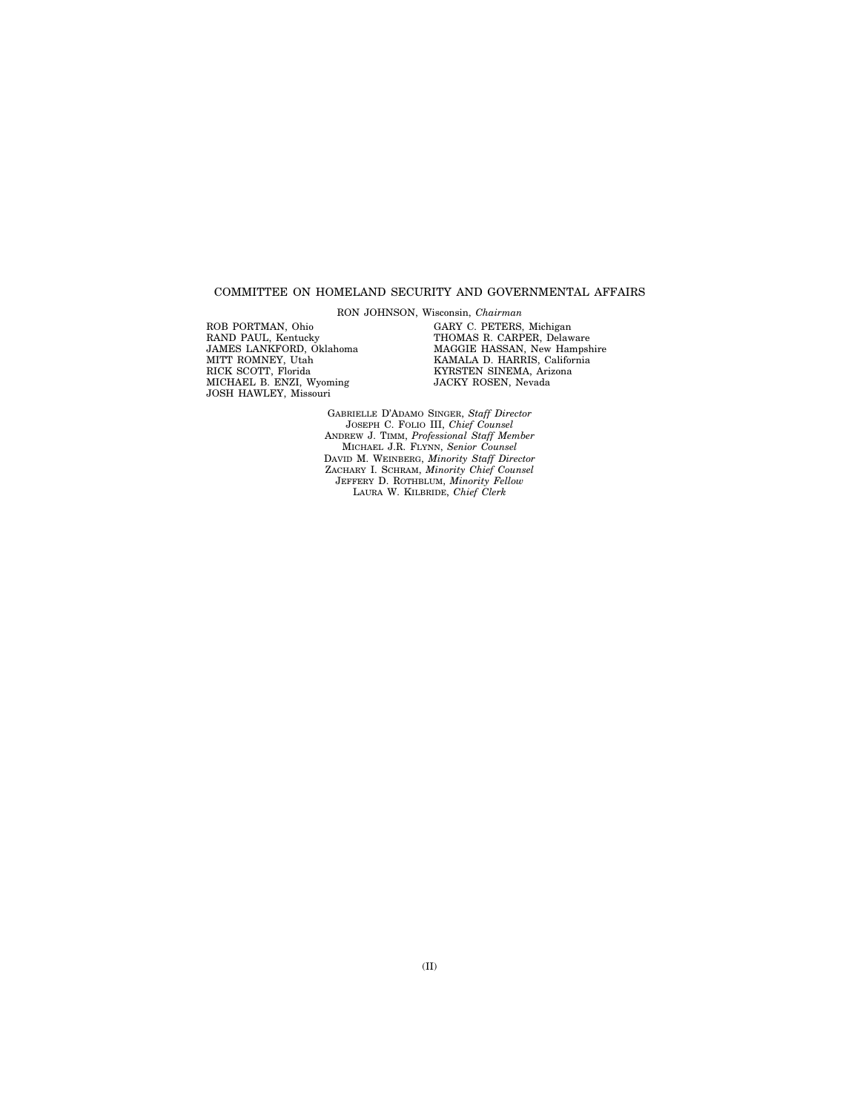#### COMMITTEE ON HOMELAND SECURITY AND GOVERNMENTAL AFFAIRS

RON JOHNSON, Wisconsin, *Chairman* 

ROB PORTMAN, Ohio RAND PAUL, Kentucky JAMES LANKFORD, Oklahoma MITT ROMNEY, Utah RICK SCOTT, Florida MICHAEL B. ENZI, Wyoming JOSH HAWLEY, Missouri

GARY C. PETERS, Michigan THOMAS R. CARPER, Delaware MAGGIE HASSAN, New Hampshire KAMALA D. HARRIS, California KYRSTEN SINEMA, Arizona JACKY ROSEN, Nevada

GABRIELLE D'ADAMO SINGER, *Staff Director*  JOSEPH C. FOLIO III, *Chief Counsel*  ANDREW J. TIMM, *Professional Staff Member*  MICHAEL J.R. FLYNN, *Senior Counsel*  DAVID M. WEINBERG, *Minority Staff Director*  ZACHARY I. SCHRAM, *Minority Chief Counsel*  JEFFERY D. ROTHBLUM, *Minority Fellow*  LAURA W. KILBRIDE, *Chief Clerk*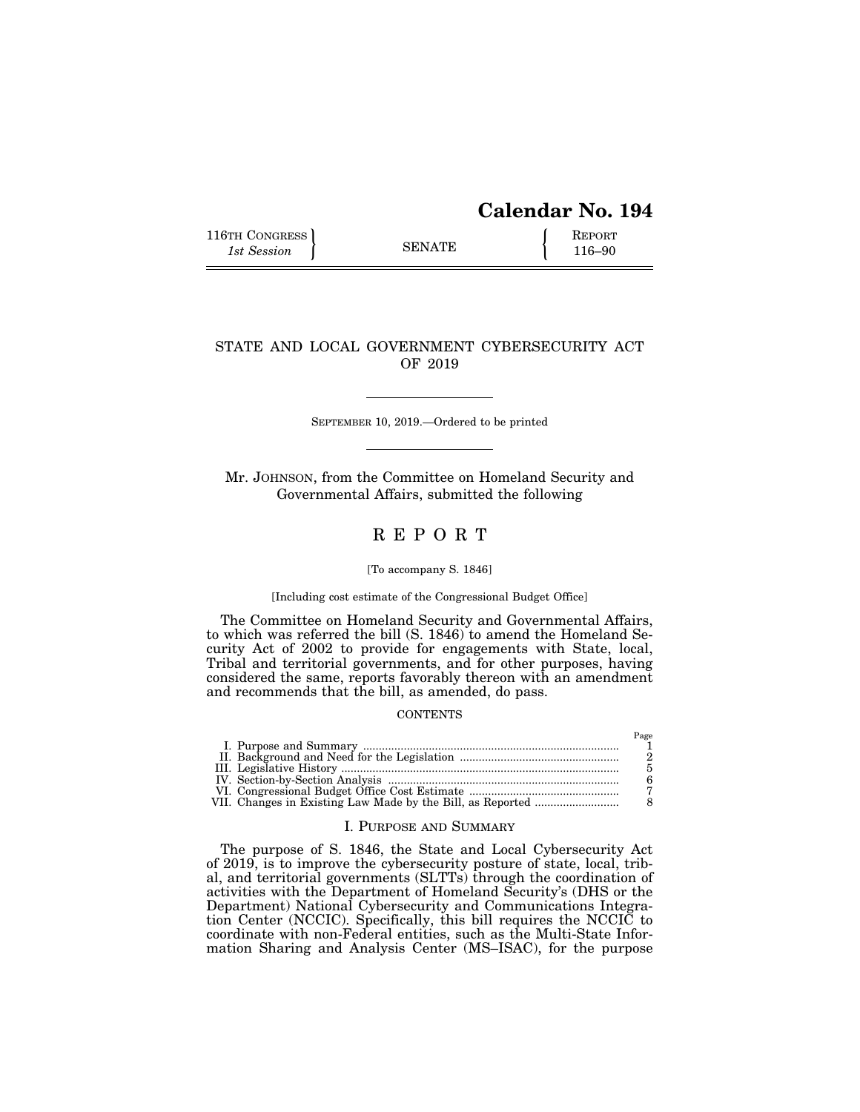# **Calendar No. 194**

Page

116TH CONGRESS REPORT 116-90

### STATE AND LOCAL GOVERNMENT CYBERSECURITY ACT OF 2019

SEPTEMBER 10, 2019.—Ordered to be printed

Mr. JOHNSON, from the Committee on Homeland Security and Governmental Affairs, submitted the following

## R E P O R T

#### [To accompany S. 1846]

#### [Including cost estimate of the Congressional Budget Office]

The Committee on Homeland Security and Governmental Affairs, to which was referred the bill (S. 1846) to amend the Homeland Security Act of 2002 to provide for engagements with State, local, Tribal and territorial governments, and for other purposes, having considered the same, reports favorably thereon with an amendment and recommends that the bill, as amended, do pass.

#### **CONTENTS**

| VII. Changes in Existing Law Made by the Bill, as Reported |  |
|------------------------------------------------------------|--|

#### I. PURPOSE AND SUMMARY

The purpose of S. 1846, the State and Local Cybersecurity Act of 2019, is to improve the cybersecurity posture of state, local, tribal, and territorial governments (SLTTs) through the coordination of activities with the Department of Homeland Security's (DHS or the Department) National Cybersecurity and Communications Integration Center (NCCIC). Specifically, this bill requires the NCCIC to coordinate with non-Federal entities, such as the Multi-State Information Sharing and Analysis Center (MS–ISAC), for the purpose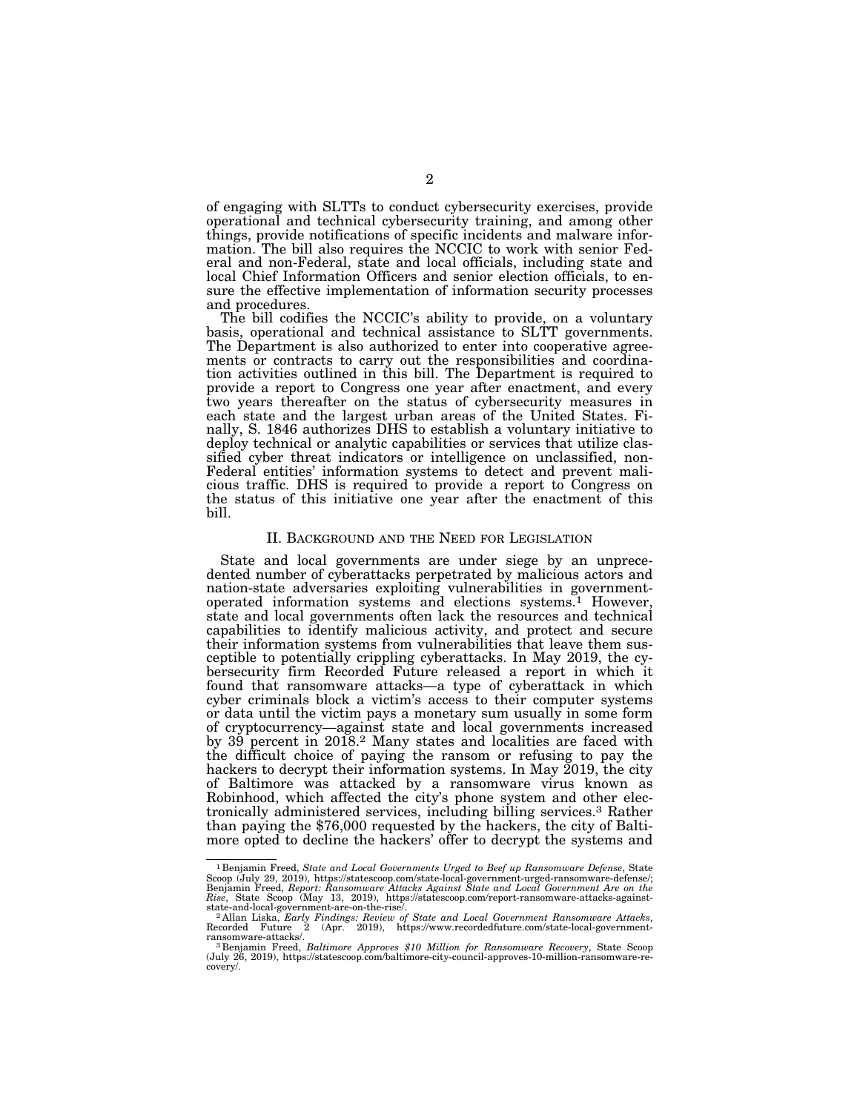of engaging with SLTTs to conduct cybersecurity exercises, provide operational and technical cybersecurity training, and among other things, provide notifications of specific incidents and malware information. The bill also requires the NCCIC to work with senior Federal and non-Federal, state and local officials, including state and local Chief Information Officers and senior election officials, to ensure the effective implementation of information security processes and procedures.

The bill codifies the NCCIC's ability to provide, on a voluntary basis, operational and technical assistance to SLTT governments. The Department is also authorized to enter into cooperative agreements or contracts to carry out the responsibilities and coordination activities outlined in this bill. The Department is required to provide a report to Congress one year after enactment, and every two years thereafter on the status of cybersecurity measures in each state and the largest urban areas of the United States. Finally, S. 1846 authorizes DHS to establish a voluntary initiative to deploy technical or analytic capabilities or services that utilize classified cyber threat indicators or intelligence on unclassified, non-Federal entities' information systems to detect and prevent malicious traffic. DHS is required to provide a report to Congress on the status of this initiative one year after the enactment of this bill.

#### II. BACKGROUND AND THE NEED FOR LEGISLATION

State and local governments are under siege by an unprecedented number of cyberattacks perpetrated by malicious actors and nation-state adversaries exploiting vulnerabilities in governmentoperated information systems and elections systems.1 However, state and local governments often lack the resources and technical capabilities to identify malicious activity, and protect and secure their information systems from vulnerabilities that leave them susceptible to potentially crippling cyberattacks. In May 2019, the cybersecurity firm Recorded Future released a report in which it found that ransomware attacks—a type of cyberattack in which cyber criminals block a victim's access to their computer systems or data until the victim pays a monetary sum usually in some form of cryptocurrency—against state and local governments increased by 39 percent in 2018.<sup>2</sup> Many states and localities are faced with the difficult choice of paying the ransom or refusing to pay the hackers to decrypt their information systems. In May 2019, the city of Baltimore was attacked by a ransomware virus known as Robinhood, which affected the city's phone system and other electronically administered services, including billing services.3 Rather than paying the \$76,000 requested by the hackers, the city of Baltimore opted to decline the hackers' offer to decrypt the systems and

<sup>&</sup>lt;sup>1</sup> Benjamin Freed, *State and Local Governments Urged to Beef up Ransomware Defense*, State Scoop (July 29, 2019), https://statescoop.com/state-local-government-urged-ransomware-defense/; Benjamin Freed, *Report: Ransomware Attacks Against State and Local Government Are on the Rise*, State Scoop (May 13, 2019), https://statescoop.com/report-ransomware-attacks-against-

<sup>&</sup>lt;sup>2</sup> Allan Liska, *Early Findings: Review of State and Local Government Ransomware Attacks*, Recorded Future 2 (Apr. 2019), https://www.recordedfuture.com/state-local-government-ransomware-attacks/.

ransomware-attacks/.<br><sup>3</sup> Benjamin Freed, *Baltimore Approves \$10 Million for Ransomware Recovery,* State Scoop<br>(July 26, 2019), https://statescoop.com/baltimore-city-council-approves-10-million-ransomware-recovery/.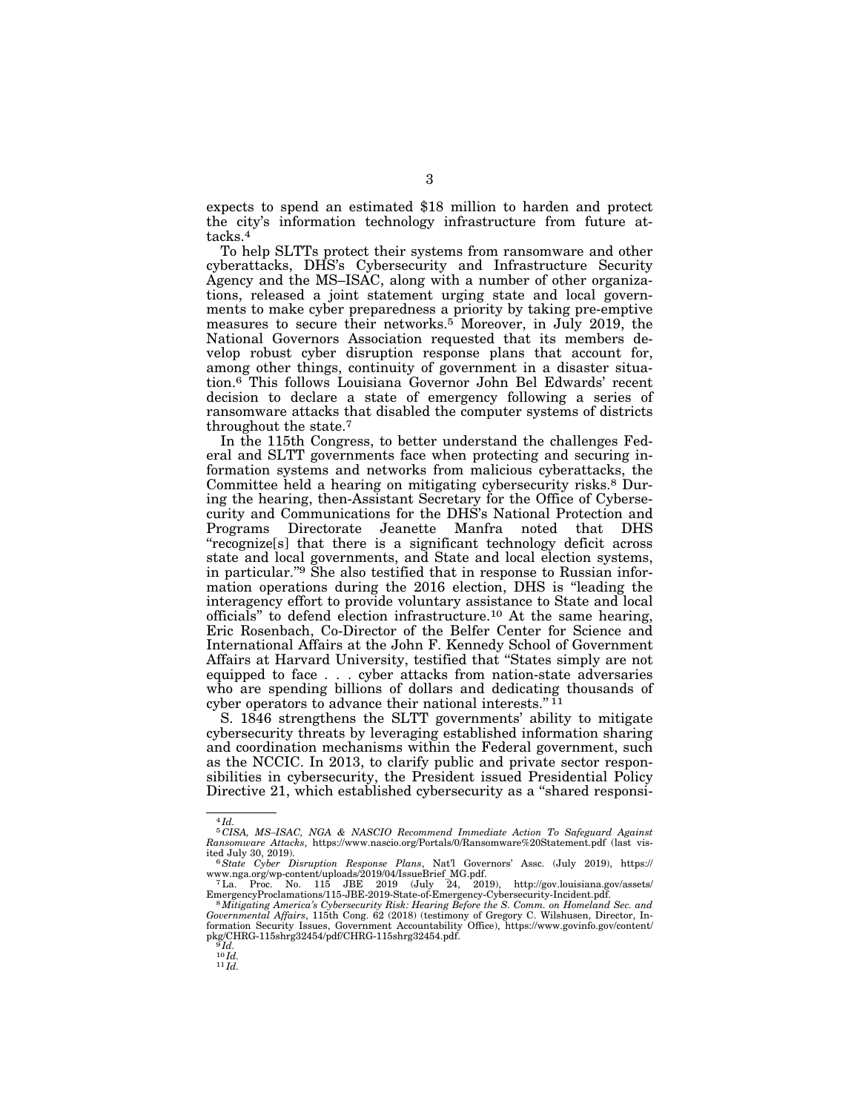expects to spend an estimated \$18 million to harden and protect the city's information technology infrastructure from future attacks.4

To help SLTTs protect their systems from ransomware and other cyberattacks, DHS's Cybersecurity and Infrastructure Security Agency and the MS–ISAC, along with a number of other organizations, released a joint statement urging state and local governments to make cyber preparedness a priority by taking pre-emptive measures to secure their networks.<sup>5</sup> Moreover, in July 2019, the National Governors Association requested that its members develop robust cyber disruption response plans that account for, among other things, continuity of government in a disaster situation.6 This follows Louisiana Governor John Bel Edwards' recent decision to declare a state of emergency following a series of ransomware attacks that disabled the computer systems of districts throughout the state.7

In the 115th Congress, to better understand the challenges Federal and SLTT governments face when protecting and securing information systems and networks from malicious cyberattacks, the Committee held a hearing on mitigating cybersecurity risks.8 During the hearing, then-Assistant Secretary for the Office of Cybersecurity and Communications for the DHS's National Protection and Programs Directorate Jeanette Manfra noted that DHS ''recognize[s] that there is a significant technology deficit across state and local governments, and State and local election systems, in particular."<sup>9</sup> She also testified that in response to Russian information operations during the 2016 election, DHS is ''leading the interagency effort to provide voluntary assistance to State and local officials'' to defend election infrastructure.10 At the same hearing, Eric Rosenbach, Co-Director of the Belfer Center for Science and International Affairs at the John F. Kennedy School of Government Affairs at Harvard University, testified that ''States simply are not equipped to face . . . cyber attacks from nation-state adversaries who are spending billions of dollars and dedicating thousands of cyber operators to advance their national interests."<sup>11</sup>

S. 1846 strengthens the SLTT governments' ability to mitigate cybersecurity threats by leveraging established information sharing and coordination mechanisms within the Federal government, such as the NCCIC. In 2013, to clarify public and private sector responsibilities in cybersecurity, the President issued Presidential Policy Directive 21, which established cybersecurity as a "shared responsi-

<sup>4</sup> *Id.* 

<sup>5</sup> *CISA, MS–ISAC, NGA & NASCIO Recommend Immediate Action To Safeguard Against Ransomware Attacks*, https://www.nascio.org/Portals/0/Ransomware%20Statement.pdf (last vis-

<sup>&</sup>lt;sup>6</sup>State Cyber Disruption Response Plans, Nat'l Governors' Assc. (July 2019), https://<br>www.nga.org/wp-content/uploads/2019/04/IssueBrief\_MG.pdf. www.nga.org/wp-content/uploads/2019/04/IssueBrief\_MG.pdf. 7La. Proc. No. 115 JBE 2019 (July 24, 2019), http://gov.louisiana.gov/assets/

EmergencyProclamations/115-JBE-2019-State-of-Emergency-Cybersecurity-Incident.pdf. 8*Mitigating America's Cybersecurity Risk: Hearing Before the S. Comm. on Homeland Sec. and* 

*Governmental Affairs*, 115th Cong. 62 (2018) (testimony of Gregory C. Wilshusen, Director, Information Security Issues, Government Accountability Office), https://www.govinfo.gov/content/ pkg/CHRG-115shrg32454/pdf/CHRG-115shrg32454.pdf.<br><sup>9</sup>*Id.*<br><sup>10</sup>*Id.* 

 $11$   $Id.$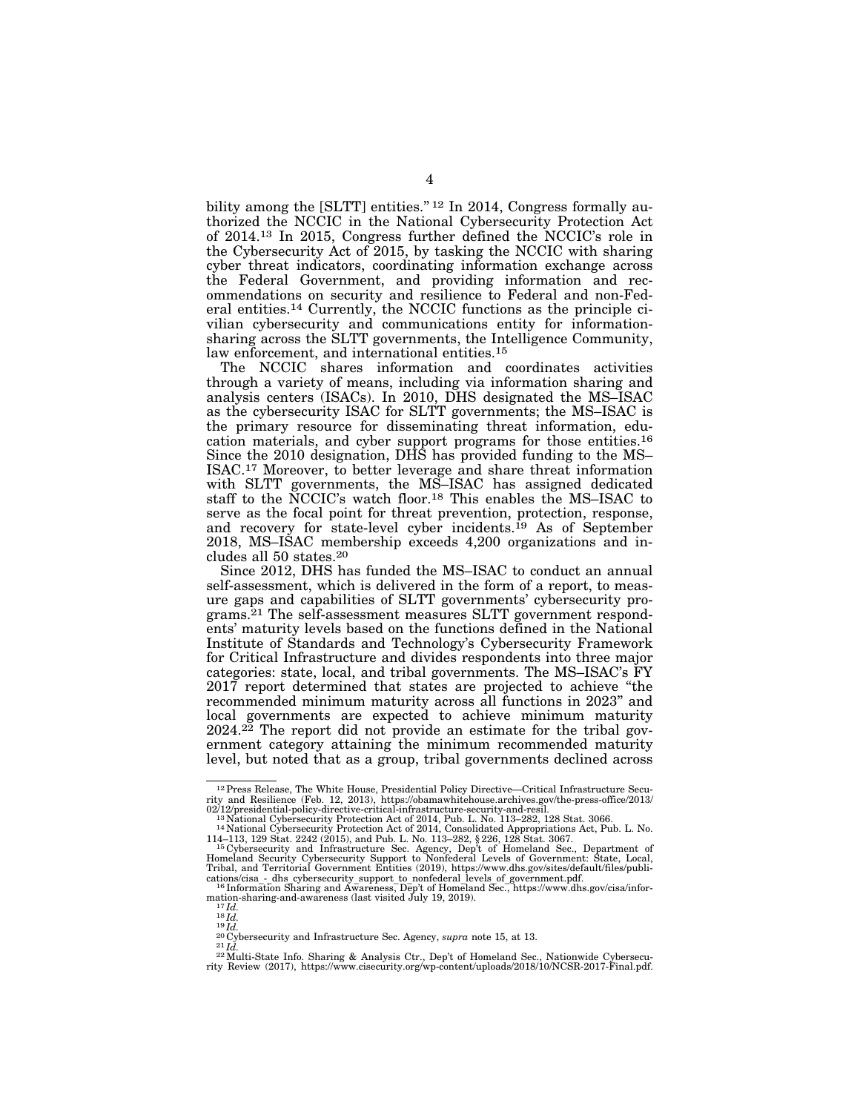bility among the  $[SLTT]$  entities."<sup>12</sup> In 2014, Congress formally authorized the NCCIC in the National Cybersecurity Protection Act of 2014.13 In 2015, Congress further defined the NCCIC's role in the Cybersecurity Act of 2015, by tasking the NCCIC with sharing cyber threat indicators, coordinating information exchange across the Federal Government, and providing information and recommendations on security and resilience to Federal and non-Federal entities.14 Currently, the NCCIC functions as the principle civilian cybersecurity and communications entity for informationsharing across the SLTT governments, the Intelligence Community, law enforcement, and international entities.15

The NCCIC shares information and coordinates activities through a variety of means, including via information sharing and analysis centers (ISACs). In 2010, DHS designated the MS–ISAC as the cybersecurity ISAC for SLTT governments; the MS–ISAC is the primary resource for disseminating threat information, education materials, and cyber support programs for those entities.16 Since the 2010 designation, DHS has provided funding to the MS– ISAC.17 Moreover, to better leverage and share threat information with SLTT governments, the MS–ISAC has assigned dedicated staff to the NCCIC's watch floor.18 This enables the MS–ISAC to serve as the focal point for threat prevention, protection, response, and recovery for state-level cyber incidents.19 As of September 2018, MS–ISAC membership exceeds 4,200 organizations and includes all 50 states.20

Since 2012, DHS has funded the MS–ISAC to conduct an annual self-assessment, which is delivered in the form of a report, to measure gaps and capabilities of SLTT governments' cybersecurity programs.21 The self-assessment measures SLTT government respondents' maturity levels based on the functions defined in the National Institute of Standards and Technology's Cybersecurity Framework for Critical Infrastructure and divides respondents into three major categories: state, local, and tribal governments. The MS–ISAC's FY 2017 report determined that states are projected to achieve ''the recommended minimum maturity across all functions in 2023'' and local governments are expected to achieve minimum maturity  $2024.<sup>22</sup>$  The report did not provide an estimate for the tribal government category attaining the minimum recommended maturity level, but noted that as a group, tribal governments declined across

<sup>&</sup>lt;sup>12</sup> Press Release, The White House, Presidential Policy Directive—Critical Infrastructure Security and Resilience (Feb. 12, 2013), https://obamawhitehouse.archives.gov/the-press-office/2013/<br>02/12/presidential-policy-dir

<sup>&</sup>lt;sup>11</sup> Mational Cybersecurity Protection Act of 2014, Consolidated Appropriations Act, Pub. L. No. 114–113, 129 Stat. 2242 (2015), and Pub. L. No. 113–282, § 226, 128 Stat. 3067.<br>
<sup>15</sup> Cybersecurity and Infrastructure Sec. A

Homeland Security Cybersecurity Support to Nonfederal Levels of Government: State, Local, Tribal, and Territorial Government Entities (2019), https://www.dhs.gov/sites/default/files/publi-

<sup>&</sup>lt;sup>16</sup> Information Sharing and Awareness, Dep't of Homeland Sec., https://www.dhs.gov/cisa/information-sharing and Awareness (last visited July 19, 2019).

mation-sharing-and-awareness (last visited July 19, 2019).<br>  ${}^{17}Id$ .<br>  ${}^{18}Id$ .<br>  ${}^{18}Id$ .<br>  ${}^{20}C$ ybersecurity and Infrastructure Sec. Agency, *supra* note 15, at 13.<br>  ${}^{22}U$ Wersecurity and Infrastructure Sec. Agency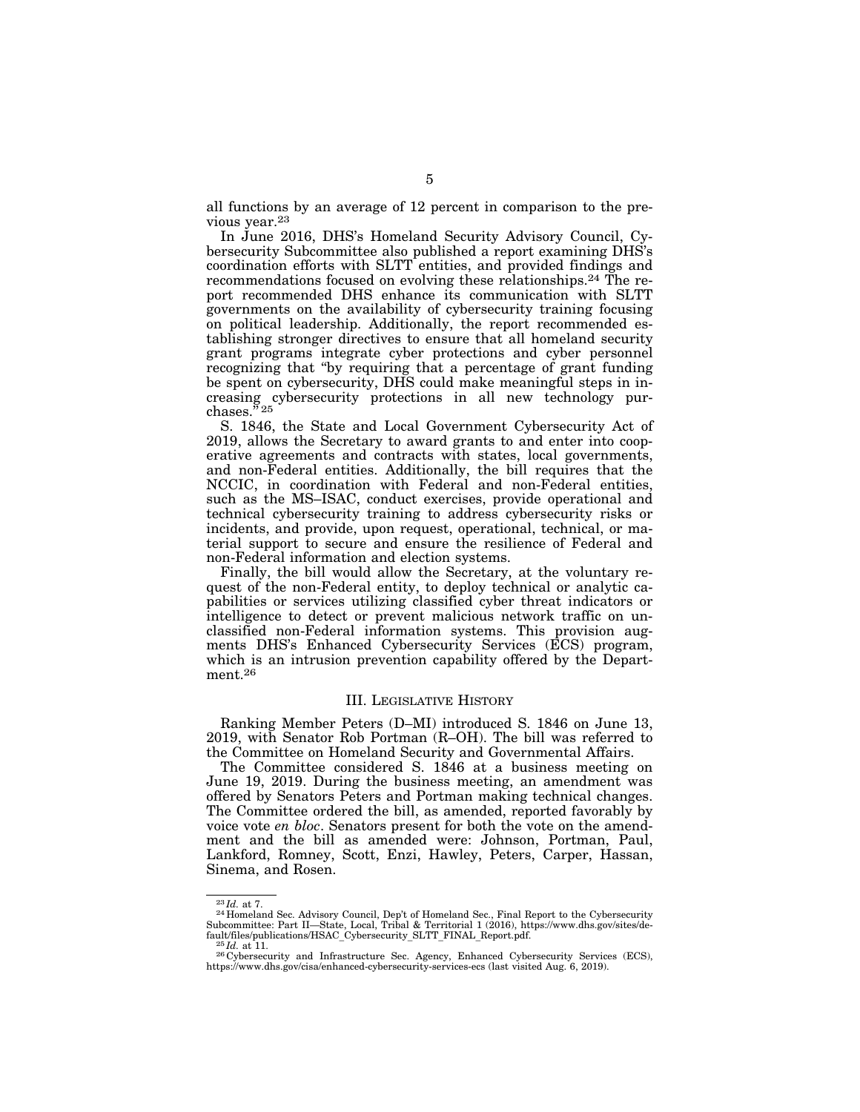all functions by an average of 12 percent in comparison to the previous year.23

In June 2016, DHS's Homeland Security Advisory Council, Cybersecurity Subcommittee also published a report examining DHS's coordination efforts with SLTT entities, and provided findings and recommendations focused on evolving these relationships.24 The report recommended DHS enhance its communication with SLTT governments on the availability of cybersecurity training focusing on political leadership. Additionally, the report recommended establishing stronger directives to ensure that all homeland security grant programs integrate cyber protections and cyber personnel recognizing that ''by requiring that a percentage of grant funding be spent on cybersecurity, DHS could make meaningful steps in increasing cybersecurity protections in all new technology pur- $\mathrm{chases.}^{\bar n}$  25

S. 1846, the State and Local Government Cybersecurity Act of 2019, allows the Secretary to award grants to and enter into cooperative agreements and contracts with states, local governments, and non-Federal entities. Additionally, the bill requires that the NCCIC, in coordination with Federal and non-Federal entities, such as the MS–ISAC, conduct exercises, provide operational and technical cybersecurity training to address cybersecurity risks or incidents, and provide, upon request, operational, technical, or material support to secure and ensure the resilience of Federal and non-Federal information and election systems.

Finally, the bill would allow the Secretary, at the voluntary request of the non-Federal entity, to deploy technical or analytic capabilities or services utilizing classified cyber threat indicators or intelligence to detect or prevent malicious network traffic on unclassified non-Federal information systems. This provision augments DHS's Enhanced Cybersecurity Services (ECS) program, which is an intrusion prevention capability offered by the Department.26

#### III. LEGISLATIVE HISTORY

Ranking Member Peters (D–MI) introduced S. 1846 on June 13, 2019, with Senator Rob Portman (R–OH). The bill was referred to the Committee on Homeland Security and Governmental Affairs.

The Committee considered S. 1846 at a business meeting on June 19, 2019. During the business meeting, an amendment was offered by Senators Peters and Portman making technical changes. The Committee ordered the bill, as amended, reported favorably by voice vote *en bloc*. Senators present for both the vote on the amendment and the bill as amended were: Johnson, Portman, Paul, Lankford, Romney, Scott, Enzi, Hawley, Peters, Carper, Hassan, Sinema, and Rosen.

<sup>&</sup>lt;sup>23</sup> *Id.* at 7. 24 Homeland Sec. Advisory Council, Dep't of Homeland Sec., Final Report to the Cybersecurity Subcommittee: Part II—State, Local, Tribal & Territorial 1 (2016), https://www.dhs.gov/sites/de-

fault/files/publications/HSAC\_Cybersecurity\_SLTT\_FINAL\_Report.pdf. 25 *Id.* at 11. 26 Cybersecurity and Infrastructure Sec. Agency, Enhanced Cybersecurity Services (ECS), https://www.dhs.gov/cisa/enhanced-cybersecurity-services-ecs (last visited Aug. 6, 2019).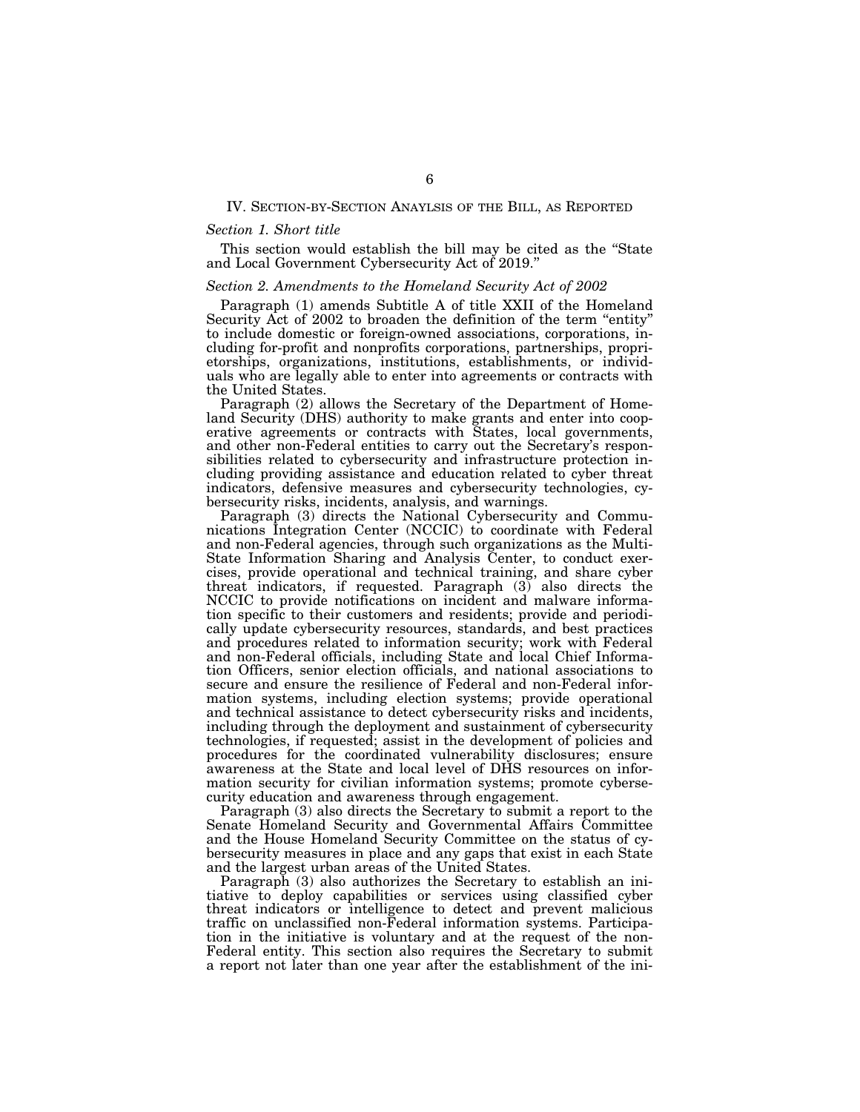#### IV. SECTION-BY-SECTION ANAYLSIS OF THE BILL, AS REPORTED

#### *Section 1. Short title*

This section would establish the bill may be cited as the ''State and Local Government Cybersecurity Act of 2019.''

#### *Section 2. Amendments to the Homeland Security Act of 2002*

Paragraph (1) amends Subtitle A of title XXII of the Homeland Security Act of 2002 to broaden the definition of the term "entity" to include domestic or foreign-owned associations, corporations, including for-profit and nonprofits corporations, partnerships, proprietorships, organizations, institutions, establishments, or individuals who are legally able to enter into agreements or contracts with the United States.

Paragraph (2) allows the Secretary of the Department of Homeland Security (DHS) authority to make grants and enter into cooperative agreements or contracts with States, local governments, and other non-Federal entities to carry out the Secretary's responsibilities related to cybersecurity and infrastructure protection including providing assistance and education related to cyber threat indicators, defensive measures and cybersecurity technologies, cybersecurity risks, incidents, analysis, and warnings.

Paragraph (3) directs the National Cybersecurity and Communications Integration Center (NCCIC) to coordinate with Federal and non-Federal agencies, through such organizations as the Multi-State Information Sharing and Analysis Center, to conduct exercises, provide operational and technical training, and share cyber threat indicators, if requested. Paragraph (3) also directs the NCCIC to provide notifications on incident and malware information specific to their customers and residents; provide and periodically update cybersecurity resources, standards, and best practices and procedures related to information security; work with Federal and non-Federal officials, including State and local Chief Information Officers, senior election officials, and national associations to secure and ensure the resilience of Federal and non-Federal information systems, including election systems; provide operational and technical assistance to detect cybersecurity risks and incidents, including through the deployment and sustainment of cybersecurity technologies, if requested; assist in the development of policies and procedures for the coordinated vulnerability disclosures; ensure awareness at the State and local level of DHS resources on information security for civilian information systems; promote cybersecurity education and awareness through engagement.

Paragraph (3) also directs the Secretary to submit a report to the Senate Homeland Security and Governmental Affairs Committee and the House Homeland Security Committee on the status of cybersecurity measures in place and any gaps that exist in each State and the largest urban areas of the United States.

Paragraph (3) also authorizes the Secretary to establish an initiative to deploy capabilities or services using classified cyber threat indicators or intelligence to detect and prevent malicious traffic on unclassified non-Federal information systems. Participation in the initiative is voluntary and at the request of the non-Federal entity. This section also requires the Secretary to submit a report not later than one year after the establishment of the ini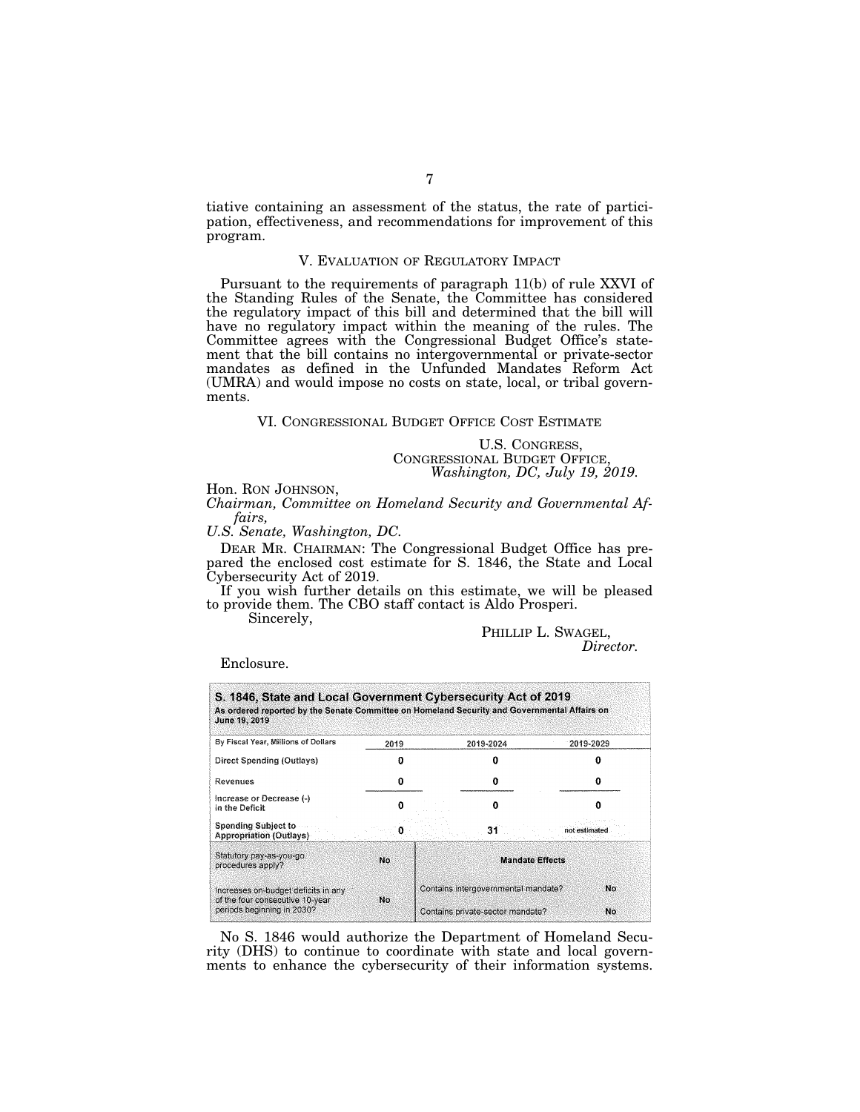tiative containing an assessment of the status, the rate of participation, effectiveness, and recommendations for improvement of this program.

#### V. EVALUATION OF REGULATORY IMPACT

Pursuant to the requirements of paragraph 11(b) of rule XXVI of the Standing Rules of the Senate, the Committee has considered the regulatory impact of this bill and determined that the bill will have no regulatory impact within the meaning of the rules. The Committee agrees with the Congressional Budget Office's statement that the bill contains no intergovernmental or private-sector mandates as defined in the Unfunded Mandates Reform Act (UMRA) and would impose no costs on state, local, or tribal governments.

#### VI. CONGRESSIONAL BUDGET OFFICE COST ESTIMATE

U.S. CONGRESS, CONGRESSIONAL BUDGET OFFICE, *Washington, DC, July 19, 2019.* 

Hon. RON JOHNSON,

*Chairman, Committee on Homeland Security and Governmental Affairs,* 

*U.S. Senate, Washington, DC.* 

DEAR MR. CHAIRMAN: The Congressional Budget Office has prepared the enclosed cost estimate for S. 1846, the State and Local Cybersecurity Act of 2019.

If you wish further details on this estimate, we will be pleased to provide them. The CBO staff contact is Aldo Prosperi.

Sincerely,

PHILLIP L. SWAGEL, *Director.* 

Enclosure.

| S. 1846, State and Local Government Cybersecurity Act of 2019<br>As ordered reported by the Senate Committee on Homeland Security and Governmental Affairs on<br>June 19, 2019 |      |  |                                     |               |    |  |
|--------------------------------------------------------------------------------------------------------------------------------------------------------------------------------|------|--|-------------------------------------|---------------|----|--|
| By Fiscal Year, Millions of Dollars                                                                                                                                            | 2019 |  | 2019-2024                           | 2019-2029     |    |  |
| Direct Spending (Outlays)                                                                                                                                                      |      |  |                                     |               |    |  |
| Revenues                                                                                                                                                                       | о    |  | o                                   |               |    |  |
| Increase or Decrease (-)<br>in the Deficit                                                                                                                                     |      |  | n                                   |               |    |  |
| <b>Spending Subject to</b><br><b>Appropriation (Outlays)</b>                                                                                                                   |      |  |                                     | not estimated |    |  |
| Statutory pay-as-you-go<br>procedures apply?                                                                                                                                   | No.  |  | <b>Mandate Effects</b>              |               |    |  |
| Increases on-budget deficits in any<br>of the four consecutive 10-year                                                                                                         | No.  |  | Contains intergovernmental mandate? |               | No |  |
| periods beginning in 2030?                                                                                                                                                     |      |  | Contains private-sector mandate?    |               |    |  |

No S. 1846 would authorize the Department of Homeland Security (DHS) to continue to coordinate with state and local governments to enhance the cybersecurity of their information systems.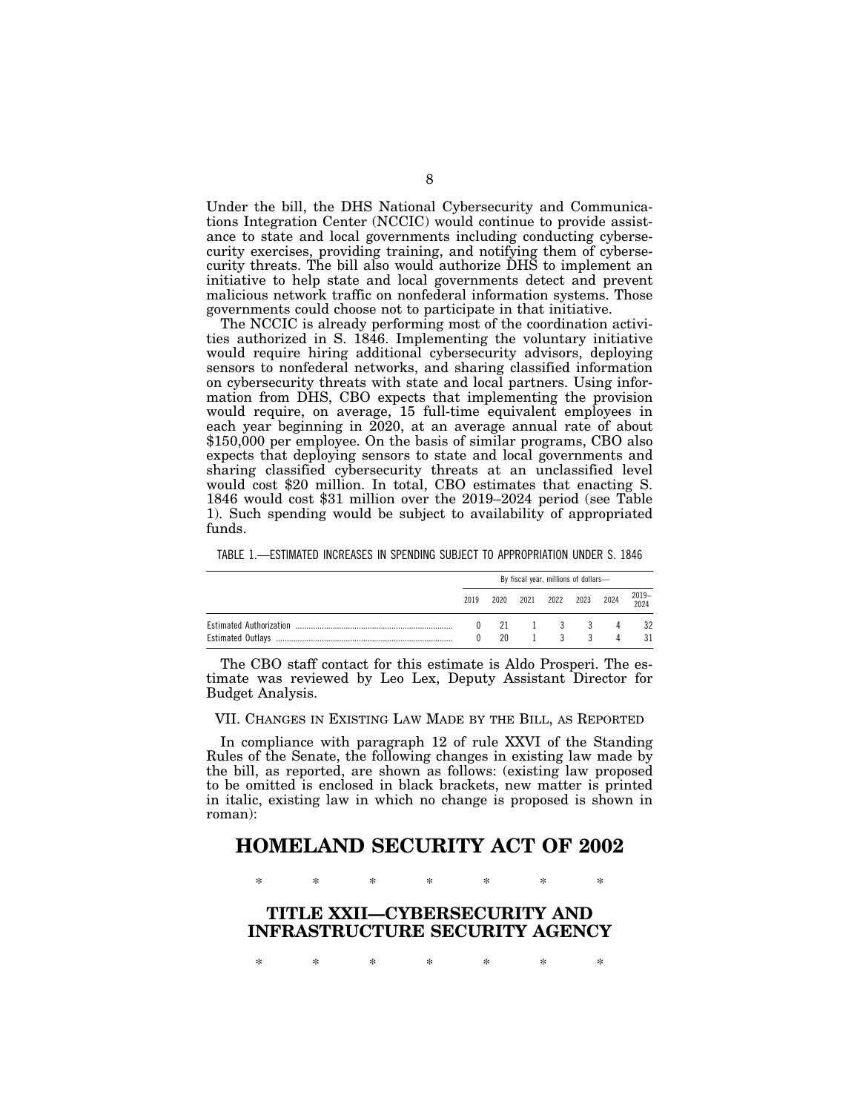Under the bill, the DHS National Cybersecurity and Communications Integration Center (NCCIC) would continue to provide assistance to state and local governments including conducting cybersecurity exercises, providing training, and notifying them of cybersecurity threats. The bill also would authorize DHS to implement an initiative to help state and local governments detect and prevent malicious network traffic on nonfederal information systems. Those governments could choose not to participate in that initiative.

The NCCIC is already performing most of the coordination activities authorized in S. 1846. Implementing the voluntary initiative would require hiring additional cybersecurity advisors, deploying sensors to nonfederal networks, and sharing classified information on cybersecurity threats with state and local partners. Using information from DHS, CBO expects that implementing the provision would require, on average, 15 full-time equivalent employees in each year beginning in 2020, at an average annual rate of about \$150,000 per employee. On the basis of similar programs, CBO also expects that deploying sensors to state and local governments and sharing classified cybersecurity threats at an unclassified level would cost \$20 million. In total, CBO estimates that enacting S. 1846 would cost \$31 million over the 2019–2024 period (see Table 1). Such spending would be subject to availability of appropriated funds.

| TABLE 1.—ESTIMATED INCREASES IN SPENDING SUBJECT TO APPROPRIATION UNDER S. 1846 |  |                                    |  |
|---------------------------------------------------------------------------------|--|------------------------------------|--|
|                                                                                 |  | Du finnal voor millians of dollars |  |

| By fiscal year, millions of dollars- |    |                 |    |                          |   |               |
|--------------------------------------|----|-----------------|----|--------------------------|---|---------------|
| 2019                                 |    |                 |    | 2020 2021 2022 2023 2024 |   | 2019–<br>2024 |
| $\mathbf{0}$                         |    |                 |    | 21 1 3 3                 | 4 | 32            |
|                                      | 20 | $\sim$ 1 $\sim$ | ્ર | 3                        |   | 31            |

The CBO staff contact for this estimate is Aldo Prosperi. The estimate was reviewed by Leo Lex, Deputy Assistant Director for Budget Analysis.

VII. CHANGES IN EXISTING LAW MADE BY THE BILL, AS REPORTED

In compliance with paragraph 12 of rule XXVI of the Standing Rules of the Senate, the following changes in existing law made by the bill, as reported, are shown as follows: (existing law proposed to be omitted is enclosed in black brackets, new matter is printed in italic, existing law in which no change is proposed is shown in roman):

# **HOMELAND SECURITY ACT OF 2002**

\* \* \* \* \* \* \*

**TITLE XXII—CYBERSECURITY AND INFRASTRUCTURE SECURITY AGENCY** 

\* \* \* \* \* \* \*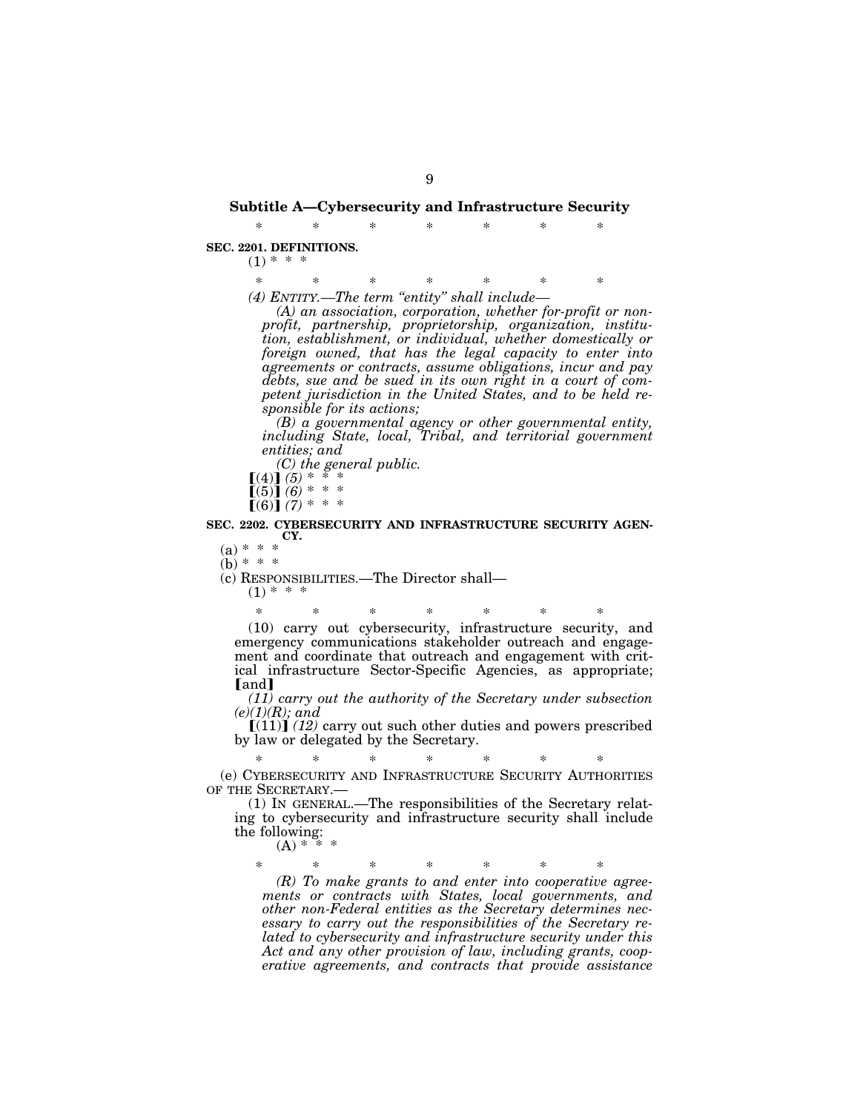# **Subtitle A—Cybersecurity and Infrastructure Security**  \* \* \* \* \* \* \*

**SEC. 2201. DEFINITIONS.** 

 $(1) * * * *$ 

\* \* \* \* \* \* \* *(4) ENTITY.—The term ''entity'' shall include—* 

*(A) an association, corporation, whether for-profit or nonprofit, partnership, proprietorship, organization, institution, establishment, or individual, whether domestically or foreign owned, that has the legal capacity to enter into agreements or contracts, assume obligations, incur and pay debts, sue and be sued in its own right in a court of competent jurisdiction in the United States, and to be held responsible for its actions;* 

*(B) a governmental agency or other governmental entity, including State, local, Tribal, and territorial government entities; and* 

*(C) the general public.* 

 $(4)$  $(5)$   $*$  $[(5)] (6) * * *$ 

 $[(6)]$  (7) \* \* \*

**SEC. 2202. CYBERSECURITY AND INFRASTRUCTURE SECURITY AGEN-CY.** 

 $(a) * * *$ 

 $(b) * * * *$ 

(c) RESPONSIBILITIES.—The Director shall—

 $(1) * * * *$ 

\* \* \* \* \* \* \* (10) carry out cybersecurity, infrastructure security, and emergency communications stakeholder outreach and engagement and coordinate that outreach and engagement with critical infrastructure Sector-Specific Agencies, as appropriate; [and]

*(11) carry out the authority of the Secretary under subsection (e)(1)(R); and* 

 $[(11)]$   $(12)$  carry out such other duties and powers prescribed by law or delegated by the Secretary.

\* \* \* \* \* \* \* (e) CYBERSECURITY AND INFRASTRUCTURE SECURITY AUTHORITIES OF THE SECRETARY.—

(1) IN GENERAL.—The responsibilities of the Secretary relating to cybersecurity and infrastructure security shall include the following:

 $(A)$  \*

\* \* \* \* \* \* \*

*(R) To make grants to and enter into cooperative agreements or contracts with States, local governments, and other non-Federal entities as the Secretary determines necessary to carry out the responsibilities of the Secretary related to cybersecurity and infrastructure security under this Act and any other provision of law, including grants, cooperative agreements, and contracts that provide assistance*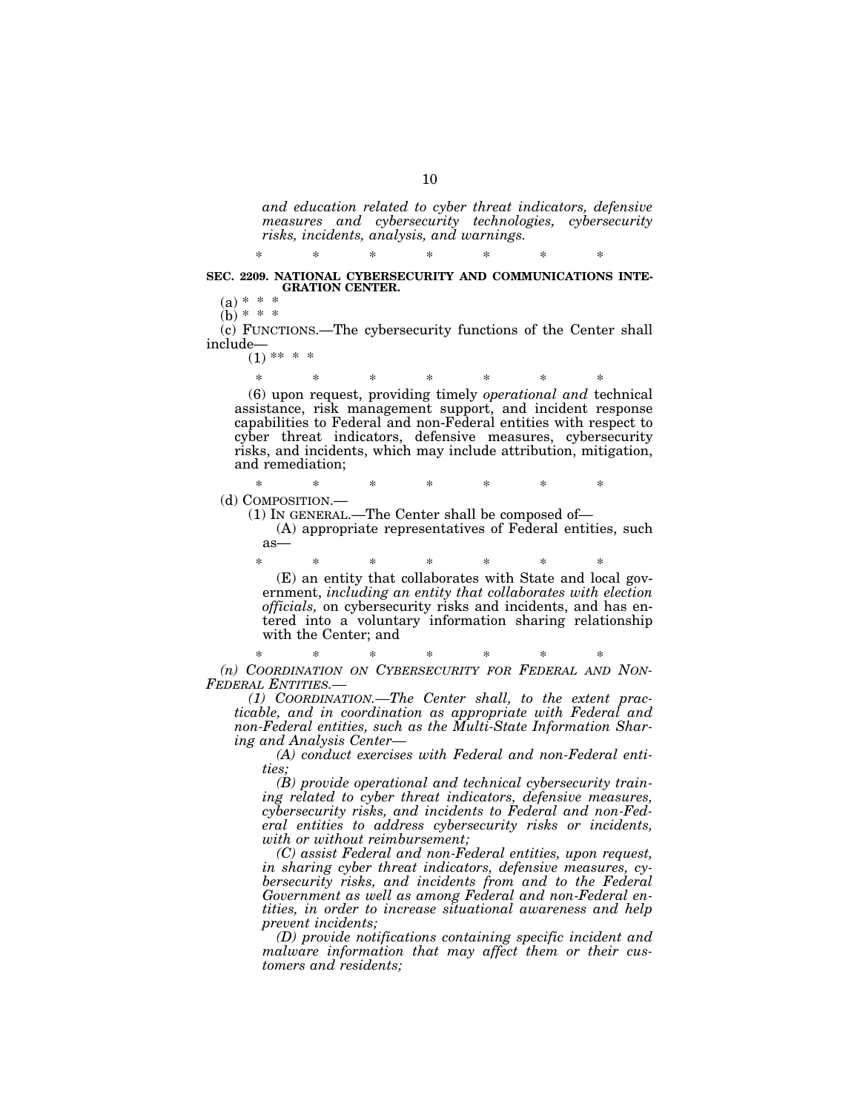*and education related to cyber threat indicators, defensive measures and cybersecurity technologies, cybersecurity risks, incidents, analysis, and warnings.* 

\* \* \* \* \* \* \* **SEC. 2209. NATIONAL CYBERSECURITY AND COMMUNICATIONS INTE-GRATION CENTER.** 

 $(a) * * *$ 

 $(b) * * *$ 

(c) FUNCTIONS.—The cybersecurity functions of the Center shall include—

 $(1)$  \*\* \* \*

\* \* \* \* \* \* \* (6) upon request, providing timely *operational and* technical assistance, risk management support, and incident response capabilities to Federal and non-Federal entities with respect to cyber threat indicators, defensive measures, cybersecurity risks, and incidents, which may include attribution, mitigation, and remediation;

\* \* \* \* \* \* \* (d) COMPOSITION.—

(1) IN GENERAL.—The Center shall be composed of—

(A) appropriate representatives of Federal entities, such as—

\* \* \* \* \* \* \* (E) an entity that collaborates with State and local government, *including an entity that collaborates with election officials,* on cybersecurity risks and incidents, and has entered into a voluntary information sharing relationship with the Center; and

\* \* \* \* \* \* \* *(n) COORDINATION ON CYBERSECURITY FOR FEDERAL AND NON-FEDERAL ENTITIES.—* 

*(1) COORDINATION.—The Center shall, to the extent practicable, and in coordination as appropriate with Federal and non-Federal entities, such as the Multi-State Information Sharing and Analysis Center—* 

*(A) conduct exercises with Federal and non-Federal entities;* 

*(B) provide operational and technical cybersecurity training related to cyber threat indicators, defensive measures, cybersecurity risks, and incidents to Federal and non-Federal entities to address cybersecurity risks or incidents, with or without reimbursement;* 

*(C) assist Federal and non-Federal entities, upon request, in sharing cyber threat indicators, defensive measures, cybersecurity risks, and incidents from and to the Federal Government as well as among Federal and non-Federal entities, in order to increase situational awareness and help prevent incidents;* 

*(D) provide notifications containing specific incident and malware information that may affect them or their customers and residents;*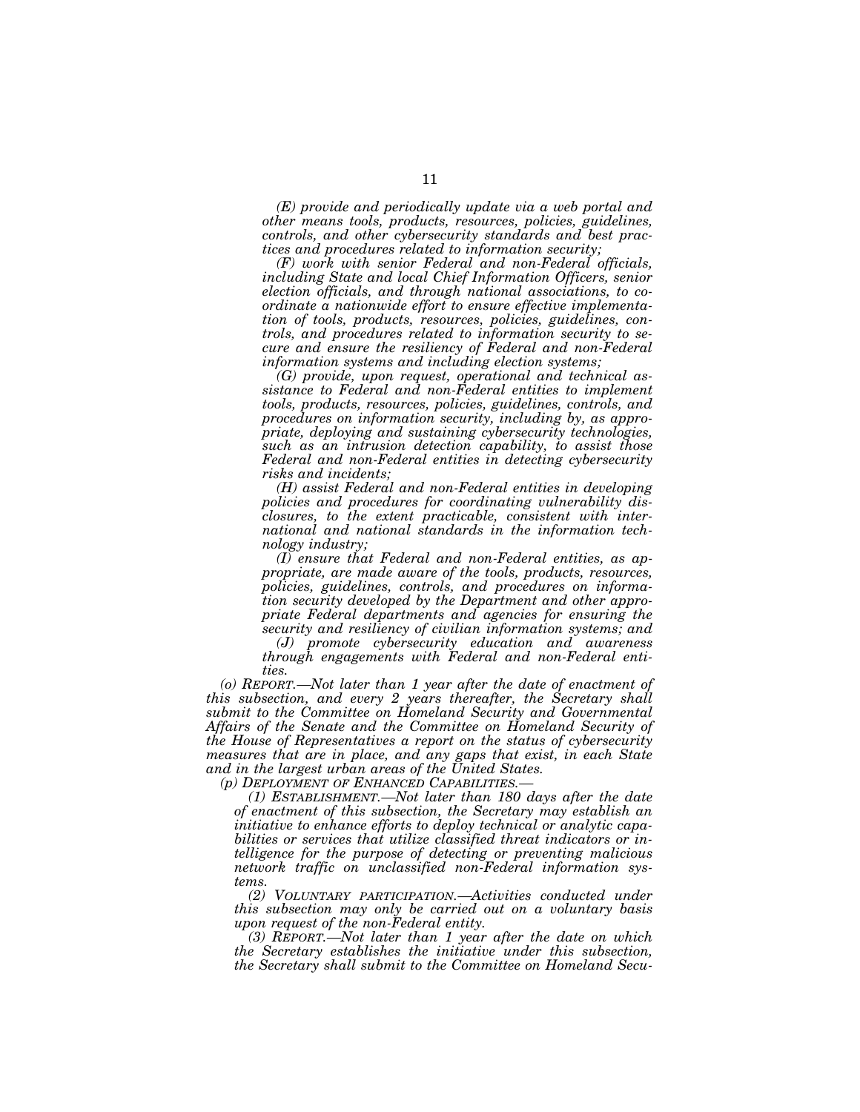*(E) provide and periodically update via a web portal and other means tools, products, resources, policies, guidelines, controls, and other cybersecurity standards and best practices and procedures related to information security;* 

*(F) work with senior Federal and non-Federal officials, including State and local Chief Information Officers, senior election officials, and through national associations, to coordinate a nationwide effort to ensure effective implementation of tools, products, resources, policies, guidelines, controls, and procedures related to information security to secure and ensure the resiliency of Federal and non-Federal information systems and including election systems;* 

*(G) provide, upon request, operational and technical assistance to Federal and non-Federal entities to implement tools, products, resources, policies, guidelines, controls, and procedures on information security, including by, as appropriate, deploying and sustaining cybersecurity technologies, such as an intrusion detection capability, to assist those Federal and non-Federal entities in detecting cybersecurity risks and incidents;* 

*(H) assist Federal and non-Federal entities in developing policies and procedures for coordinating vulnerability disclosures, to the extent practicable, consistent with international and national standards in the information technology industry;* 

*(I) ensure that Federal and non-Federal entities, as appropriate, are made aware of the tools, products, resources, policies, guidelines, controls, and procedures on information security developed by the Department and other appropriate Federal departments and agencies for ensuring the security and resiliency of civilian information systems; and* 

*(J) promote cybersecurity education and awareness through engagements with Federal and non-Federal entities.* 

*(o) REPORT.—Not later than 1 year after the date of enactment of this subsection, and every 2 years thereafter, the Secretary shall submit to the Committee on Homeland Security and Governmental Affairs of the Senate and the Committee on Homeland Security of the House of Representatives a report on the status of cybersecurity measures that are in place, and any gaps that exist, in each State and in the largest urban areas of the United States.* 

*(p) DEPLOYMENT OF ENHANCED CAPABILITIES.—* 

*(1) ESTABLISHMENT.—Not later than 180 days after the date of enactment of this subsection, the Secretary may establish an initiative to enhance efforts to deploy technical or analytic capabilities or services that utilize classified threat indicators or intelligence for the purpose of detecting or preventing malicious network traffic on unclassified non-Federal information systems.* 

*(2) VOLUNTARY PARTICIPATION.—Activities conducted under this subsection may only be carried out on a voluntary basis upon request of the non-Federal entity.* 

*(3) REPORT.—Not later than 1 year after the date on which the Secretary establishes the initiative under this subsection, the Secretary shall submit to the Committee on Homeland Secu-*